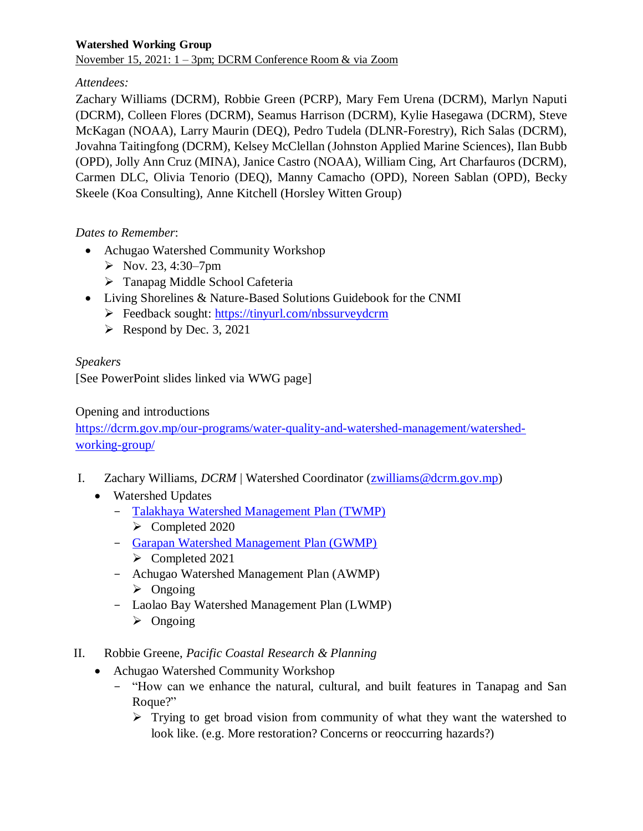## *Attendees:*

Zachary Williams (DCRM), Robbie Green (PCRP), Mary Fem Urena (DCRM), Marlyn Naputi (DCRM), Colleen Flores (DCRM), Seamus Harrison (DCRM), Kylie Hasegawa (DCRM), Steve McKagan (NOAA), Larry Maurin (DEQ), Pedro Tudela (DLNR-Forestry), Rich Salas (DCRM), Jovahna Taitingfong (DCRM), Kelsey McClellan (Johnston Applied Marine Sciences), Ilan Bubb (OPD), Jolly Ann Cruz (MINA), Janice Castro (NOAA), William Cing, Art Charfauros (DCRM), Carmen DLC, Olivia Tenorio (DEQ), Manny Camacho (OPD), Noreen Sablan (OPD), Becky Skeele (Koa Consulting), Anne Kitchell (Horsley Witten Group)

# *Dates to Remember*:

- Achugao Watershed Community Workshop
	- $\triangleright$  Nov. 23, 4:30–7pm
	- > Tanapag Middle School Cafeteria
- Living Shorelines & Nature-Based Solutions Guidebook for the CNMI
	- Feedback sought:<https://tinyurl.com/nbssurveydcrm>
	- $\triangleright$  Respond by Dec. 3, 2021

# *Speakers*

[See PowerPoint slides linked via WWG page]

## Opening and introductions

[https://dcrm.gov.mp/our-programs/water-quality-and-watershed-management/watershed](https://dcrm.gov.mp/our-programs/water-quality-and-watershed-management/watershed-working-group/)[working-group/](https://dcrm.gov.mp/our-programs/water-quality-and-watershed-management/watershed-working-group/)

- I. Zachary Williams, *DCRM* | Watershed Coordinator (*zwilliams@dcrm.gov.mp*)
	- Watershed Updates
		- Talakhaya [Watershed Management Plan \(TWMP\)](https://dcrm.gov.mp/wp-content/uploads/crm/Talakhaya-2020-WMP_FINAL.pdf)
			- Completed 2020
		- [Garapan Watershed Management Plan \(GWMP\)](https://dcrm.gov.mp/wp-content/uploads/crm/Garapan-2020-WMP_FINAL.pdf)
			- $\triangleright$  Completed 2021
		- Achugao Watershed Management Plan (AWMP)
			- $\triangleright$  Ongoing
		- Laolao Bay Watershed Management Plan (LWMP)  $\triangleright$  Ongoing
- II. Robbie Greene, *Pacific Coastal Research & Planning*
	- Achugao Watershed Community Workshop
		- "How can we enhance the natural, cultural, and built features in Tanapag and San Roque?"
			- $\triangleright$  Trying to get broad vision from community of what they want the watershed to look like. (e.g. More restoration? Concerns or reoccurring hazards?)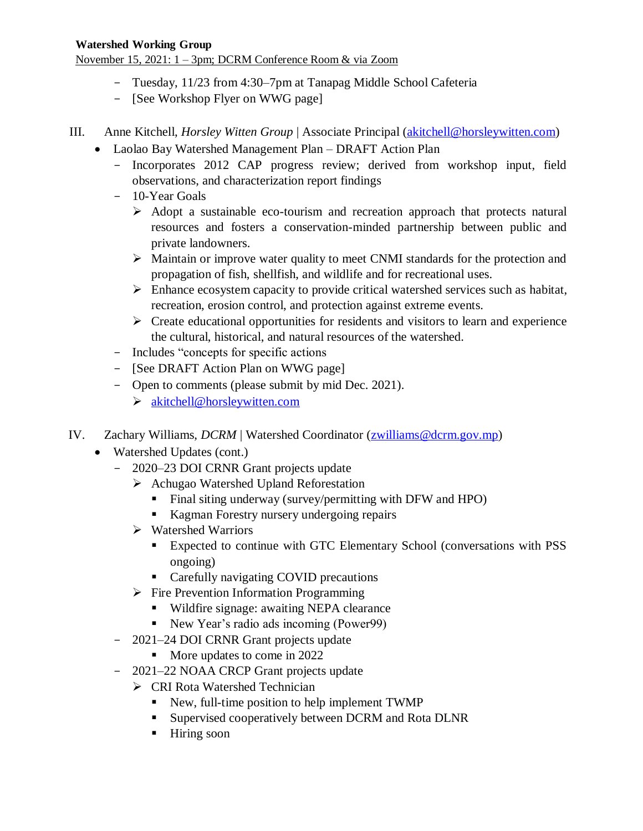November 15, 2021: 1 – 3pm; DCRM Conference Room & via Zoom

- Tuesday, 11/23 from 4:30–7pm at Tanapag Middle School Cafeteria
- [See Workshop Flyer on WWG page]

III. Anne Kitchell, *Horsley Witten Group* | Associate Principal [\(akitchell@horsleywitten.com\)](mailto:akitchell@horsleywitten.com)

- Laolao Bay Watershed Management Plan DRAFT Action Plan
	- Incorporates 2012 CAP progress review; derived from workshop input, field observations, and characterization report findings
	- 10-Year Goals
		- $\triangleright$  Adopt a sustainable eco-tourism and recreation approach that protects natural resources and fosters a conservation-minded partnership between public and private landowners.
		- Maintain or improve water quality to meet CNMI standards for the protection and propagation of fish, shellfish, and wildlife and for recreational uses.
		- $\triangleright$  Enhance ecosystem capacity to provide critical watershed services such as habitat, recreation, erosion control, and protection against extreme events.
		- $\triangleright$  Create educational opportunities for residents and visitors to learn and experience the cultural, historical, and natural resources of the watershed.
	- Includes "concepts for specific actions
	- [See DRAFT Action Plan on WWG page]
	- Open to comments (please submit by mid Dec. 2021).
		- $\triangleright$  [akitchell@horsleywitten.com](mailto:akitchell@horsleywitten.com)
- IV. Zachary Williams, *DCRM* | Watershed Coordinator [\(zwilliams@dcrm.gov.mp\)](mailto:zwilliams@dcrm.gov.mp)
	- Watershed Updates (cont.)
		- 2020–23 DOI CRNR Grant projects update
			- Achugao Watershed Upland Reforestation
				- Final siting underway (survey/permitting with DFW and HPO)
				- Kagman Forestry nursery undergoing repairs
			- Watershed Warriors
				- Expected to continue with GTC Elementary School (conversations with PSS ongoing)
				- **Carefully navigating COVID precautions**
			- $\triangleright$  Fire Prevention Information Programming
				- Wildfire signage: awaiting NEPA clearance
				- New Year's radio ads incoming (Power99)
		- 2021–24 DOI CRNR Grant projects update
			- More updates to come in 2022
		- 2021–22 NOAA CRCP Grant projects update
			- CRI Rota Watershed Technician
				- New, full-time position to help implement TWMP
				- **Supervised cooperatively between DCRM and Rota DLNR**
				- **Hiring soon**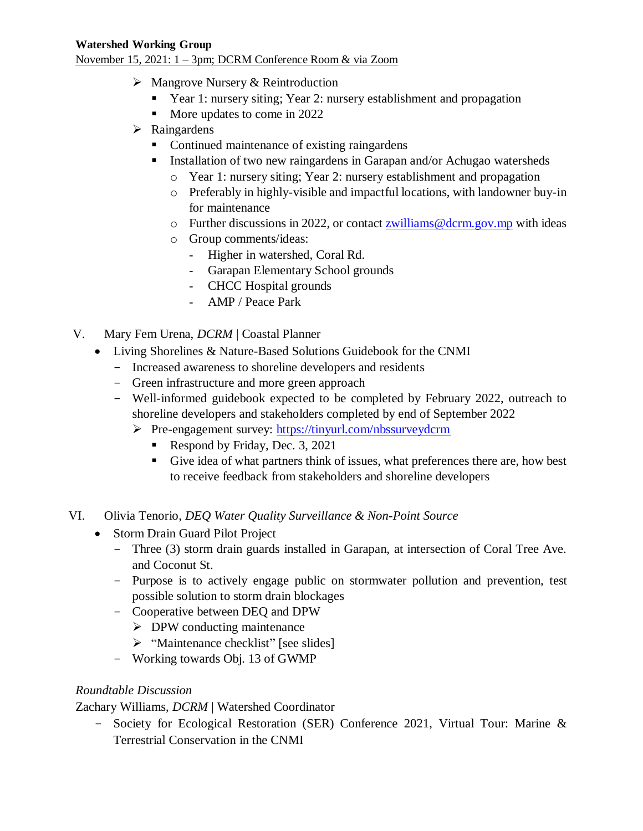November 15, 2021: 1 – 3pm; DCRM Conference Room & via Zoom

- $\triangleright$  Mangrove Nursery & Reintroduction
	- Year 1: nursery siting; Year 2: nursery establishment and propagation
	- More updates to come in 2022
- $\triangleright$  Raingardens
	- Continued maintenance of existing raingardens
	- **Installation of two new raingardens in Garapan and/or Achugao watersheds** 
		- o Year 1: nursery siting; Year 2: nursery establishment and propagation
		- o Preferably in highly-visible and impactful locations, with landowner buy-in for maintenance
		- $\circ$  Further discussions in 2022, or contact [zwilliams@dcrm.gov.mp](mailto:zwilliams@dcrm.gov.mp) with ideas
		- o Group comments/ideas:
			- ‐ Higher in watershed, Coral Rd.
			- ‐ Garapan Elementary School grounds
			- ‐ CHCC Hospital grounds
			- ‐ AMP / Peace Park
- V. Mary Fem Urena, *DCRM* | Coastal Planner
	- Living Shorelines & Nature-Based Solutions Guidebook for the CNMI
		- Increased awareness to shoreline developers and residents
		- Green infrastructure and more green approach
		- Well-informed guidebook expected to be completed by February 2022, outreach to shoreline developers and stakeholders completed by end of September 2022
			- Pre-engagement survey:<https://tinyurl.com/nbssurveydcrm>
				- Respond by Friday, Dec. 3, 2021
				- Give idea of what partners think of issues, what preferences there are, how best to receive feedback from stakeholders and shoreline developers
- VI. Olivia Tenorio, *DEQ Water Quality Surveillance & Non-Point Source*
	- Storm Drain Guard Pilot Project
		- Three (3) storm drain guards installed in Garapan, at intersection of Coral Tree Ave. and Coconut St.
		- Purpose is to actively engage public on stormwater pollution and prevention, test possible solution to storm drain blockages
		- Cooperative between DEQ and DPW
			- $\triangleright$  DPW conducting maintenance
			- $\triangleright$  "Maintenance checklist" [see slides]
		- Working towards Obj. 13 of GWMP

#### *Roundtable Discussion*

Zachary Williams, *DCRM* | Watershed Coordinator

- Society for Ecological Restoration (SER) Conference 2021, Virtual Tour: Marine & Terrestrial Conservation in the CNMI